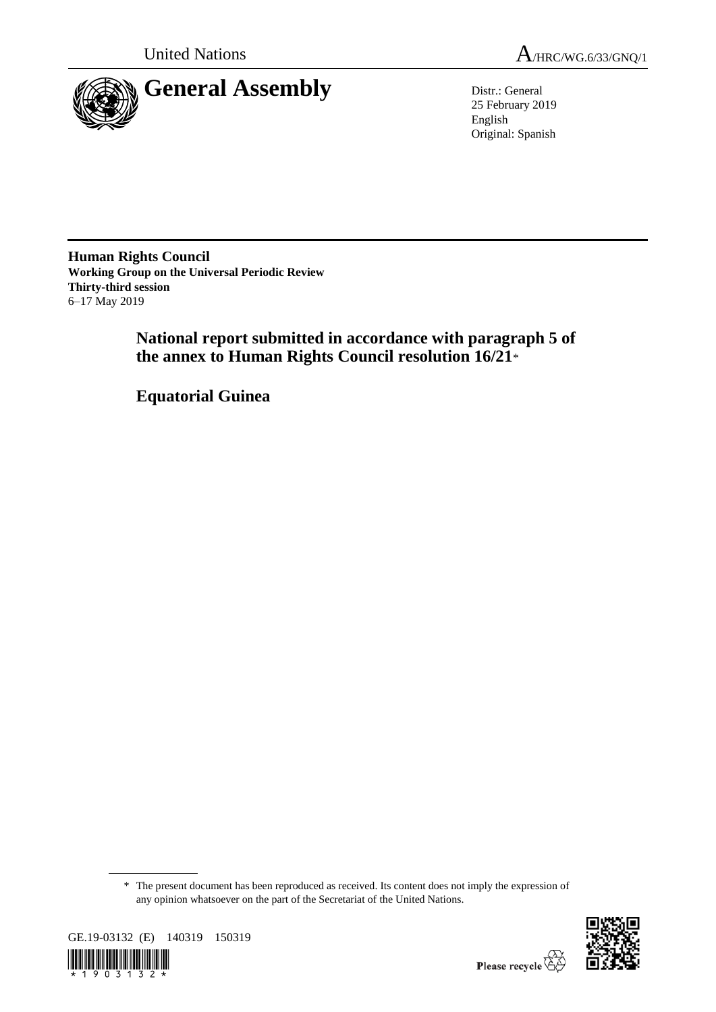

25 February 2019 English Original: Spanish

**Human Rights Council Working Group on the Universal Periodic Review Thirty-third session** 6–17 May 2019

> **National report submitted in accordance with paragraph 5 of the annex to Human Rights Council resolution 16/21**\*

**Equatorial Guinea**

<sup>\*</sup> The present document has been reproduced as received. Its content does not imply the expression of any opinion whatsoever on the part of the Secretariat of the United Nations.



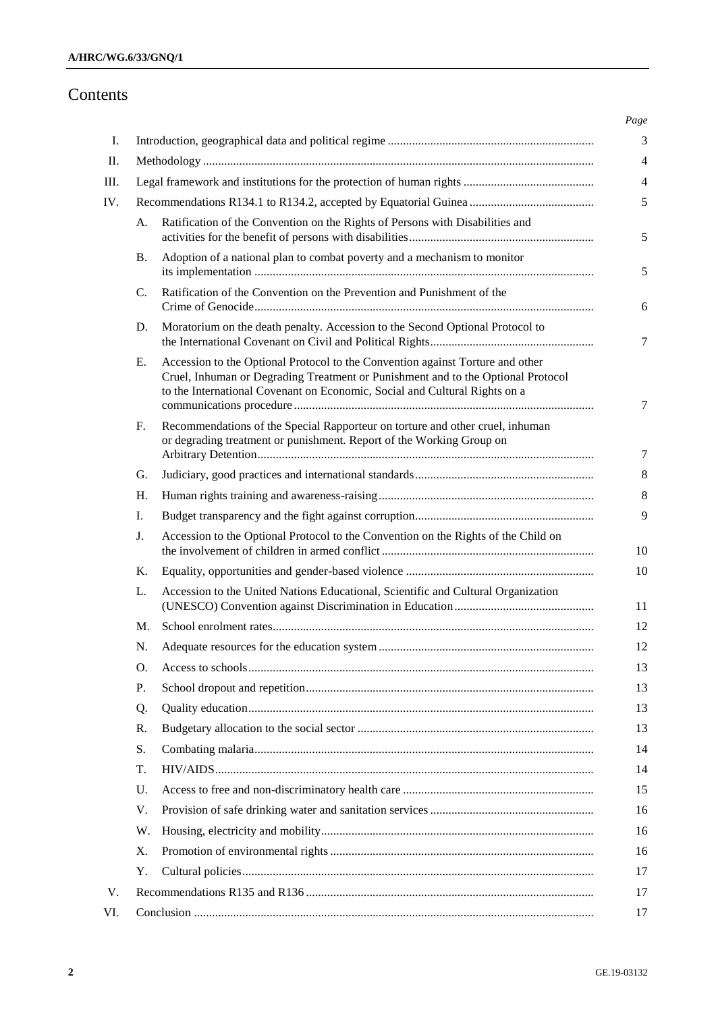# Contents

| A. | Ratification of the Convention on the Rights of Persons with Disabilities and                                                                                                                                                                    |
|----|--------------------------------------------------------------------------------------------------------------------------------------------------------------------------------------------------------------------------------------------------|
| В. | Adoption of a national plan to combat poverty and a mechanism to monitor                                                                                                                                                                         |
| C. | Ratification of the Convention on the Prevention and Punishment of the                                                                                                                                                                           |
| D. | Moratorium on the death penalty. Accession to the Second Optional Protocol to                                                                                                                                                                    |
| Е. | Accession to the Optional Protocol to the Convention against Torture and other<br>Cruel, Inhuman or Degrading Treatment or Punishment and to the Optional Protocol<br>to the International Covenant on Economic, Social and Cultural Rights on a |
| F. | Recommendations of the Special Rapporteur on torture and other cruel, inhuman<br>or degrading treatment or punishment. Report of the Working Group on                                                                                            |
| G. |                                                                                                                                                                                                                                                  |
| Н. |                                                                                                                                                                                                                                                  |
| Ι. |                                                                                                                                                                                                                                                  |
| J. | Accession to the Optional Protocol to the Convention on the Rights of the Child on                                                                                                                                                               |
| Κ. |                                                                                                                                                                                                                                                  |
| L. | Accession to the United Nations Educational, Scientific and Cultural Organization                                                                                                                                                                |
| М. |                                                                                                                                                                                                                                                  |
| N. |                                                                                                                                                                                                                                                  |
| O. |                                                                                                                                                                                                                                                  |
| P. |                                                                                                                                                                                                                                                  |
| Q. |                                                                                                                                                                                                                                                  |
| R. |                                                                                                                                                                                                                                                  |
| S. |                                                                                                                                                                                                                                                  |
| T. |                                                                                                                                                                                                                                                  |
| U. |                                                                                                                                                                                                                                                  |
| V. |                                                                                                                                                                                                                                                  |
| W. |                                                                                                                                                                                                                                                  |
| Х. |                                                                                                                                                                                                                                                  |
| Υ. |                                                                                                                                                                                                                                                  |
|    |                                                                                                                                                                                                                                                  |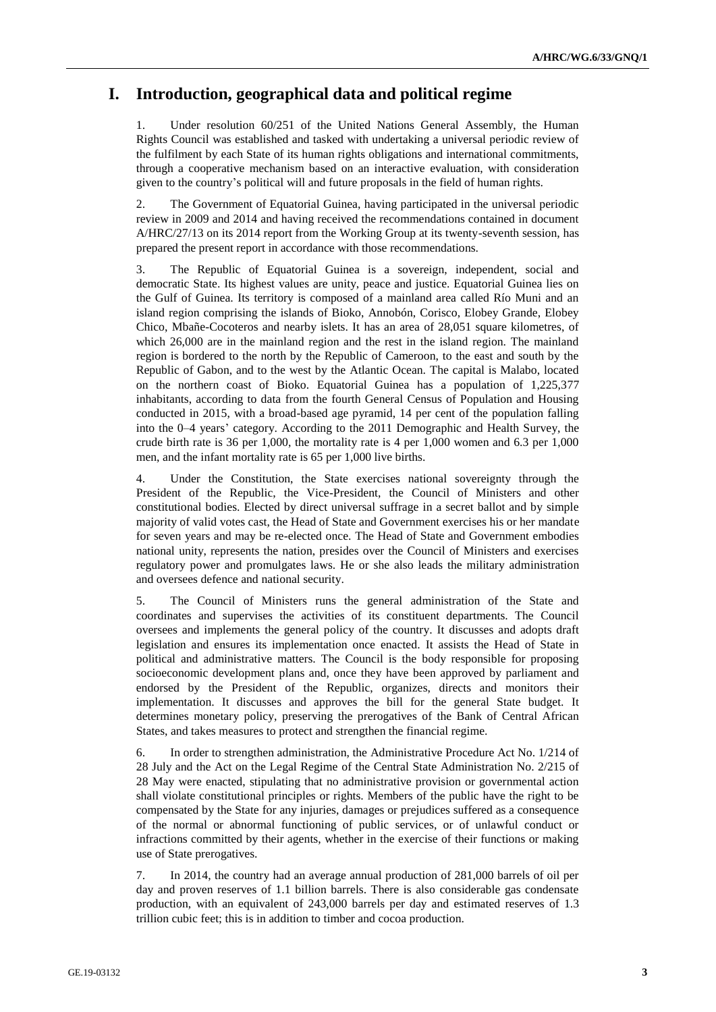# **I. Introduction, geographical data and political regime**

Under resolution 60/251 of the United Nations General Assembly, the Human Rights Council was established and tasked with undertaking a universal periodic review of the fulfilment by each State of its human rights obligations and international commitments, through a cooperative mechanism based on an interactive evaluation, with consideration given to the country's political will and future proposals in the field of human rights.

2. The Government of Equatorial Guinea, having participated in the universal periodic review in 2009 and 2014 and having received the recommendations contained in document A/HRC/27/13 on its 2014 report from the Working Group at its twenty-seventh session, has prepared the present report in accordance with those recommendations.

3. The Republic of Equatorial Guinea is a sovereign, independent, social and democratic State. Its highest values are unity, peace and justice. Equatorial Guinea lies on the Gulf of Guinea. Its territory is composed of a mainland area called Río Muni and an island region comprising the islands of Bioko, Annobón, Corisco, Elobey Grande, Elobey Chico, Mbañe-Cocoteros and nearby islets. It has an area of 28,051 square kilometres, of which 26,000 are in the mainland region and the rest in the island region. The mainland region is bordered to the north by the Republic of Cameroon, to the east and south by the Republic of Gabon, and to the west by the Atlantic Ocean. The capital is Malabo, located on the northern coast of Bioko. Equatorial Guinea has a population of 1,225,377 inhabitants, according to data from the fourth General Census of Population and Housing conducted in 2015, with a broad-based age pyramid, 14 per cent of the population falling into the 0–4 years' category. According to the 2011 Demographic and Health Survey, the crude birth rate is 36 per 1,000, the mortality rate is 4 per 1,000 women and 6.3 per 1,000 men, and the infant mortality rate is 65 per 1,000 live births.

4. Under the Constitution, the State exercises national sovereignty through the President of the Republic, the Vice-President, the Council of Ministers and other constitutional bodies. Elected by direct universal suffrage in a secret ballot and by simple majority of valid votes cast, the Head of State and Government exercises his or her mandate for seven years and may be re-elected once. The Head of State and Government embodies national unity, represents the nation, presides over the Council of Ministers and exercises regulatory power and promulgates laws. He or she also leads the military administration and oversees defence and national security.

5. The Council of Ministers runs the general administration of the State and coordinates and supervises the activities of its constituent departments. The Council oversees and implements the general policy of the country. It discusses and adopts draft legislation and ensures its implementation once enacted. It assists the Head of State in political and administrative matters. The Council is the body responsible for proposing socioeconomic development plans and, once they have been approved by parliament and endorsed by the President of the Republic, organizes, directs and monitors their implementation. It discusses and approves the bill for the general State budget. It determines monetary policy, preserving the prerogatives of the Bank of Central African States, and takes measures to protect and strengthen the financial regime.

6. In order to strengthen administration, the Administrative Procedure Act No. 1/214 of 28 July and the Act on the Legal Regime of the Central State Administration No. 2/215 of 28 May were enacted, stipulating that no administrative provision or governmental action shall violate constitutional principles or rights. Members of the public have the right to be compensated by the State for any injuries, damages or prejudices suffered as a consequence of the normal or abnormal functioning of public services, or of unlawful conduct or infractions committed by their agents, whether in the exercise of their functions or making use of State prerogatives.

7. In 2014, the country had an average annual production of 281,000 barrels of oil per day and proven reserves of 1.1 billion barrels. There is also considerable gas condensate production, with an equivalent of 243,000 barrels per day and estimated reserves of 1.3 trillion cubic feet; this is in addition to timber and cocoa production.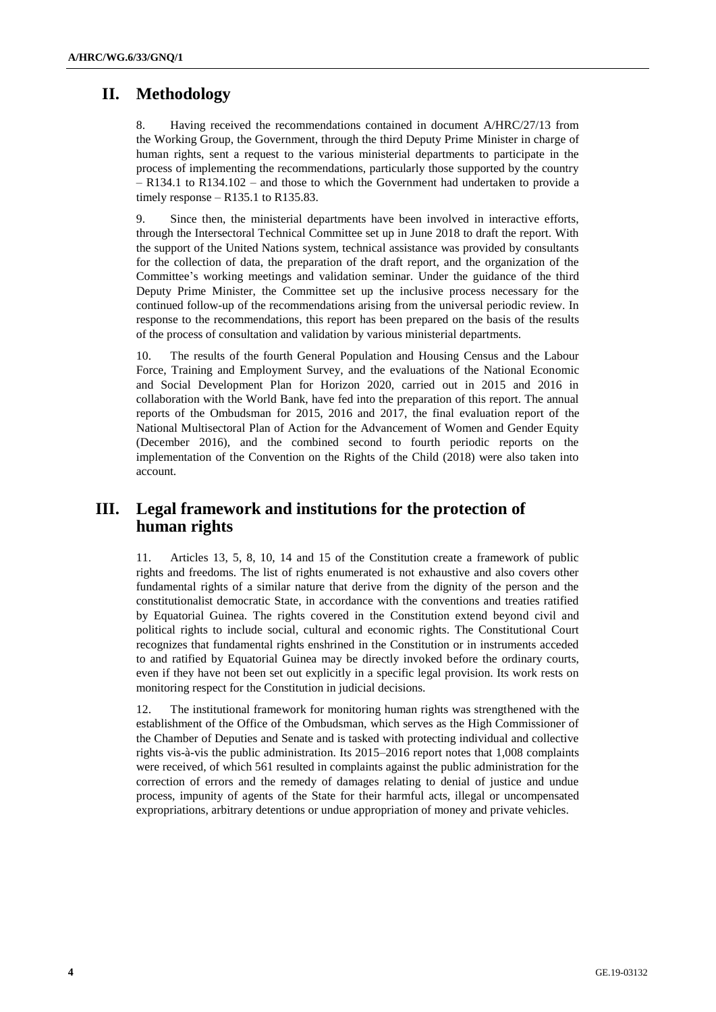# **II. Methodology**

8. Having received the recommendations contained in document A/HRC/27/13 from the Working Group, the Government, through the third Deputy Prime Minister in charge of human rights, sent a request to the various ministerial departments to participate in the process of implementing the recommendations, particularly those supported by the country  $-$  R134.1 to R134.102 – and those to which the Government had undertaken to provide a timely response  $-$  R135.1 to R135.83.

9. Since then, the ministerial departments have been involved in interactive efforts, through the Intersectoral Technical Committee set up in June 2018 to draft the report. With the support of the United Nations system, technical assistance was provided by consultants for the collection of data, the preparation of the draft report, and the organization of the Committee's working meetings and validation seminar. Under the guidance of the third Deputy Prime Minister, the Committee set up the inclusive process necessary for the continued follow-up of the recommendations arising from the universal periodic review. In response to the recommendations, this report has been prepared on the basis of the results of the process of consultation and validation by various ministerial departments.

10. The results of the fourth General Population and Housing Census and the Labour Force, Training and Employment Survey, and the evaluations of the National Economic and Social Development Plan for Horizon 2020, carried out in 2015 and 2016 in collaboration with the World Bank, have fed into the preparation of this report. The annual reports of the Ombudsman for 2015, 2016 and 2017, the final evaluation report of the National Multisectoral Plan of Action for the Advancement of Women and Gender Equity (December 2016), and the combined second to fourth periodic reports on the implementation of the Convention on the Rights of the Child (2018) were also taken into account.

# **III. Legal framework and institutions for the protection of human rights**

11. Articles 13, 5, 8, 10, 14 and 15 of the Constitution create a framework of public rights and freedoms. The list of rights enumerated is not exhaustive and also covers other fundamental rights of a similar nature that derive from the dignity of the person and the constitutionalist democratic State, in accordance with the conventions and treaties ratified by Equatorial Guinea. The rights covered in the Constitution extend beyond civil and political rights to include social, cultural and economic rights. The Constitutional Court recognizes that fundamental rights enshrined in the Constitution or in instruments acceded to and ratified by Equatorial Guinea may be directly invoked before the ordinary courts, even if they have not been set out explicitly in a specific legal provision. Its work rests on monitoring respect for the Constitution in judicial decisions.

12. The institutional framework for monitoring human rights was strengthened with the establishment of the Office of the Ombudsman, which serves as the High Commissioner of the Chamber of Deputies and Senate and is tasked with protecting individual and collective rights vis-à-vis the public administration. Its 2015–2016 report notes that 1,008 complaints were received, of which 561 resulted in complaints against the public administration for the correction of errors and the remedy of damages relating to denial of justice and undue process, impunity of agents of the State for their harmful acts, illegal or uncompensated expropriations, arbitrary detentions or undue appropriation of money and private vehicles.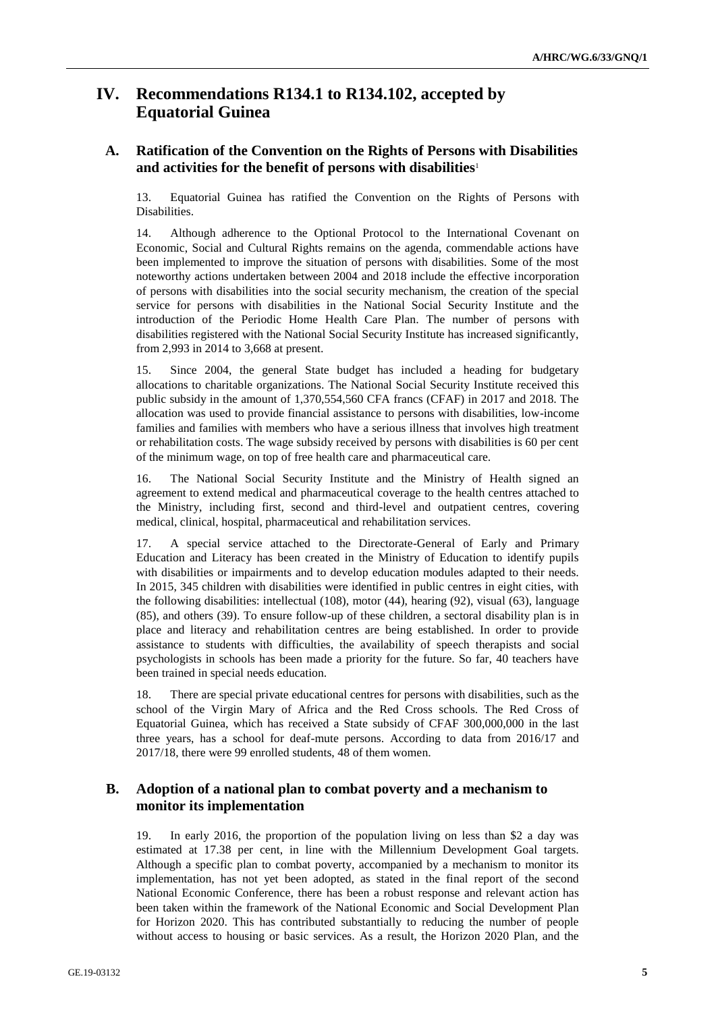# **IV. Recommendations R134.1 to R134.102, accepted by Equatorial Guinea**

# **A. Ratification of the Convention on the Rights of Persons with Disabilities and activities for the benefit of persons with disabilities**<sup>1</sup>

13. Equatorial Guinea has ratified the Convention on the Rights of Persons with Disabilities.

14. Although adherence to the Optional Protocol to the International Covenant on Economic, Social and Cultural Rights remains on the agenda, commendable actions have been implemented to improve the situation of persons with disabilities. Some of the most noteworthy actions undertaken between 2004 and 2018 include the effective incorporation of persons with disabilities into the social security mechanism, the creation of the special service for persons with disabilities in the National Social Security Institute and the introduction of the Periodic Home Health Care Plan. The number of persons with disabilities registered with the National Social Security Institute has increased significantly, from 2,993 in 2014 to 3,668 at present.

15. Since 2004, the general State budget has included a heading for budgetary allocations to charitable organizations. The National Social Security Institute received this public subsidy in the amount of 1,370,554,560 CFA francs (CFAF) in 2017 and 2018. The allocation was used to provide financial assistance to persons with disabilities, low-income families and families with members who have a serious illness that involves high treatment or rehabilitation costs. The wage subsidy received by persons with disabilities is 60 per cent of the minimum wage, on top of free health care and pharmaceutical care.

16. The National Social Security Institute and the Ministry of Health signed an agreement to extend medical and pharmaceutical coverage to the health centres attached to the Ministry, including first, second and third-level and outpatient centres, covering medical, clinical, hospital, pharmaceutical and rehabilitation services.

17. A special service attached to the Directorate-General of Early and Primary Education and Literacy has been created in the Ministry of Education to identify pupils with disabilities or impairments and to develop education modules adapted to their needs. In 2015, 345 children with disabilities were identified in public centres in eight cities, with the following disabilities: intellectual (108), motor (44), hearing (92), visual (63), language (85), and others (39). To ensure follow-up of these children, a sectoral disability plan is in place and literacy and rehabilitation centres are being established. In order to provide assistance to students with difficulties, the availability of speech therapists and social psychologists in schools has been made a priority for the future. So far, 40 teachers have been trained in special needs education.

18. There are special private educational centres for persons with disabilities, such as the school of the Virgin Mary of Africa and the Red Cross schools. The Red Cross of Equatorial Guinea, which has received a State subsidy of CFAF 300,000,000 in the last three years, has a school for deaf-mute persons. According to data from 2016/17 and 2017/18, there were 99 enrolled students, 48 of them women.

# **B. Adoption of a national plan to combat poverty and a mechanism to monitor its implementation**

19. In early 2016, the proportion of the population living on less than \$2 a day was estimated at 17.38 per cent, in line with the Millennium Development Goal targets. Although a specific plan to combat poverty, accompanied by a mechanism to monitor its implementation, has not yet been adopted, as stated in the final report of the second National Economic Conference, there has been a robust response and relevant action has been taken within the framework of the National Economic and Social Development Plan for Horizon 2020. This has contributed substantially to reducing the number of people without access to housing or basic services. As a result, the Horizon 2020 Plan, and the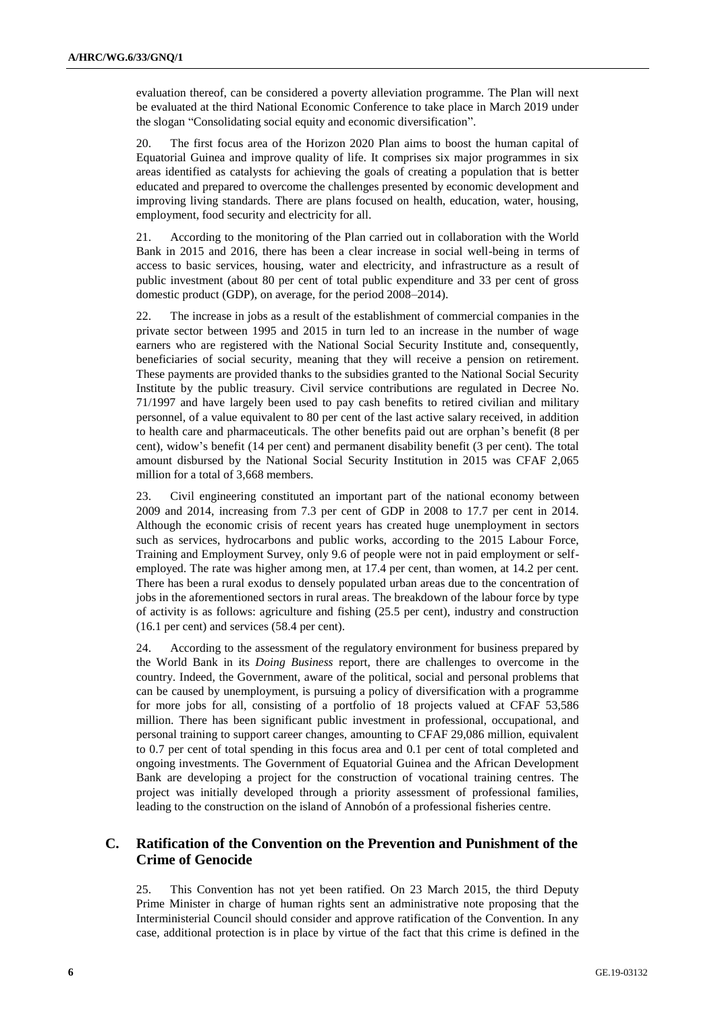evaluation thereof, can be considered a poverty alleviation programme. The Plan will next be evaluated at the third National Economic Conference to take place in March 2019 under the slogan "Consolidating social equity and economic diversification".

20. The first focus area of the Horizon 2020 Plan aims to boost the human capital of Equatorial Guinea and improve quality of life. It comprises six major programmes in six areas identified as catalysts for achieving the goals of creating a population that is better educated and prepared to overcome the challenges presented by economic development and improving living standards. There are plans focused on health, education, water, housing, employment, food security and electricity for all.

21. According to the monitoring of the Plan carried out in collaboration with the World Bank in 2015 and 2016, there has been a clear increase in social well-being in terms of access to basic services, housing, water and electricity, and infrastructure as a result of public investment (about 80 per cent of total public expenditure and 33 per cent of gross domestic product (GDP), on average, for the period 2008–2014).

22. The increase in jobs as a result of the establishment of commercial companies in the private sector between 1995 and 2015 in turn led to an increase in the number of wage earners who are registered with the National Social Security Institute and, consequently, beneficiaries of social security, meaning that they will receive a pension on retirement. These payments are provided thanks to the subsidies granted to the National Social Security Institute by the public treasury. Civil service contributions are regulated in Decree No. 71/1997 and have largely been used to pay cash benefits to retired civilian and military personnel, of a value equivalent to 80 per cent of the last active salary received, in addition to health care and pharmaceuticals. The other benefits paid out are orphan's benefit (8 per cent), widow's benefit (14 per cent) and permanent disability benefit (3 per cent). The total amount disbursed by the National Social Security Institution in 2015 was CFAF 2,065 million for a total of 3,668 members.

23. Civil engineering constituted an important part of the national economy between 2009 and 2014, increasing from 7.3 per cent of GDP in 2008 to 17.7 per cent in 2014. Although the economic crisis of recent years has created huge unemployment in sectors such as services, hydrocarbons and public works, according to the 2015 Labour Force, Training and Employment Survey, only 9.6 of people were not in paid employment or selfemployed. The rate was higher among men, at 17.4 per cent, than women, at 14.2 per cent. There has been a rural exodus to densely populated urban areas due to the concentration of jobs in the aforementioned sectors in rural areas. The breakdown of the labour force by type of activity is as follows: agriculture and fishing (25.5 per cent), industry and construction (16.1 per cent) and services (58.4 per cent).

24. According to the assessment of the regulatory environment for business prepared by the World Bank in its *Doing Business* report, there are challenges to overcome in the country. Indeed, the Government, aware of the political, social and personal problems that can be caused by unemployment, is pursuing a policy of diversification with a programme for more jobs for all, consisting of a portfolio of 18 projects valued at CFAF 53,586 million. There has been significant public investment in professional, occupational, and personal training to support career changes, amounting to CFAF 29,086 million, equivalent to 0.7 per cent of total spending in this focus area and 0.1 per cent of total completed and ongoing investments. The Government of Equatorial Guinea and the African Development Bank are developing a project for the construction of vocational training centres. The project was initially developed through a priority assessment of professional families, leading to the construction on the island of Annobón of a professional fisheries centre.

#### **C. Ratification of the Convention on the Prevention and Punishment of the Crime of Genocide**

25. This Convention has not yet been ratified. On 23 March 2015, the third Deputy Prime Minister in charge of human rights sent an administrative note proposing that the Interministerial Council should consider and approve ratification of the Convention. In any case, additional protection is in place by virtue of the fact that this crime is defined in the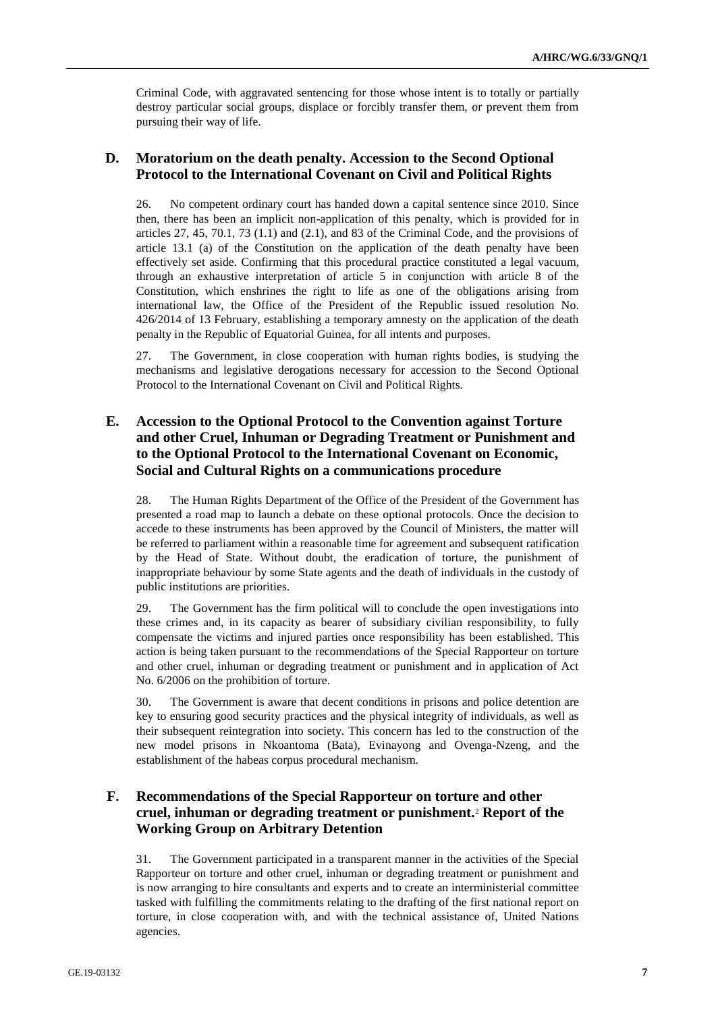Criminal Code, with aggravated sentencing for those whose intent is to totally or partially destroy particular social groups, displace or forcibly transfer them, or prevent them from pursuing their way of life.

#### **D. Moratorium on the death penalty. Accession to the Second Optional Protocol to the International Covenant on Civil and Political Rights**

26. No competent ordinary court has handed down a capital sentence since 2010. Since then, there has been an implicit non-application of this penalty, which is provided for in articles  $27, 45, 70.1, 73$   $(1.1)$  and  $(2.1)$ , and  $83$  of the Criminal Code, and the provisions of article 13.1 (a) of the Constitution on the application of the death penalty have been effectively set aside. Confirming that this procedural practice constituted a legal vacuum, through an exhaustive interpretation of article 5 in conjunction with article 8 of the Constitution, which enshrines the right to life as one of the obligations arising from international law, the Office of the President of the Republic issued resolution No. 426/2014 of 13 February, establishing a temporary amnesty on the application of the death penalty in the Republic of Equatorial Guinea, for all intents and purposes.

27. The Government, in close cooperation with human rights bodies, is studying the mechanisms and legislative derogations necessary for accession to the Second Optional Protocol to the International Covenant on Civil and Political Rights.

# **E. Accession to the Optional Protocol to the Convention against Torture and other Cruel, Inhuman or Degrading Treatment or Punishment and to the Optional Protocol to the International Covenant on Economic, Social and Cultural Rights on a communications procedure**

28. The Human Rights Department of the Office of the President of the Government has presented a road map to launch a debate on these optional protocols. Once the decision to accede to these instruments has been approved by the Council of Ministers, the matter will be referred to parliament within a reasonable time for agreement and subsequent ratification by the Head of State. Without doubt, the eradication of torture, the punishment of inappropriate behaviour by some State agents and the death of individuals in the custody of public institutions are priorities.

29. The Government has the firm political will to conclude the open investigations into these crimes and, in its capacity as bearer of subsidiary civilian responsibility, to fully compensate the victims and injured parties once responsibility has been established. This action is being taken pursuant to the recommendations of the Special Rapporteur on torture and other cruel, inhuman or degrading treatment or punishment and in application of Act No. 6/2006 on the prohibition of torture.

30. The Government is aware that decent conditions in prisons and police detention are key to ensuring good security practices and the physical integrity of individuals, as well as their subsequent reintegration into society. This concern has led to the construction of the new model prisons in Nkoantoma (Bata), Evinayong and Ovenga-Nzeng, and the establishment of the habeas corpus procedural mechanism.

# **F. Recommendations of the Special Rapporteur on torture and other cruel, inhuman or degrading treatment or punishment.**<sup>2</sup> **Report of the Working Group on Arbitrary Detention**

31. The Government participated in a transparent manner in the activities of the Special Rapporteur on torture and other cruel, inhuman or degrading treatment or punishment and is now arranging to hire consultants and experts and to create an interministerial committee tasked with fulfilling the commitments relating to the drafting of the first national report on torture, in close cooperation with, and with the technical assistance of, United Nations agencies.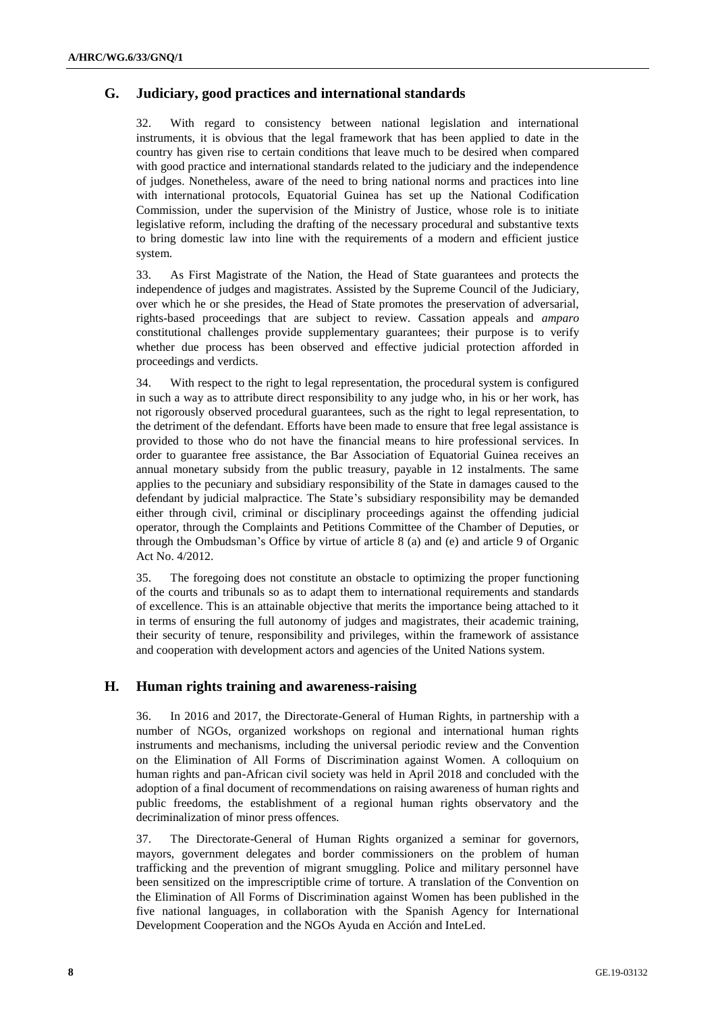#### **G. Judiciary, good practices and international standards**

32. With regard to consistency between national legislation and international instruments, it is obvious that the legal framework that has been applied to date in the country has given rise to certain conditions that leave much to be desired when compared with good practice and international standards related to the judiciary and the independence of judges. Nonetheless, aware of the need to bring national norms and practices into line with international protocols, Equatorial Guinea has set up the National Codification Commission, under the supervision of the Ministry of Justice, whose role is to initiate legislative reform, including the drafting of the necessary procedural and substantive texts to bring domestic law into line with the requirements of a modern and efficient justice system.

33. As First Magistrate of the Nation, the Head of State guarantees and protects the independence of judges and magistrates. Assisted by the Supreme Council of the Judiciary, over which he or she presides, the Head of State promotes the preservation of adversarial, rights-based proceedings that are subject to review. Cassation appeals and *amparo* constitutional challenges provide supplementary guarantees; their purpose is to verify whether due process has been observed and effective judicial protection afforded in proceedings and verdicts.

34. With respect to the right to legal representation, the procedural system is configured in such a way as to attribute direct responsibility to any judge who, in his or her work, has not rigorously observed procedural guarantees, such as the right to legal representation, to the detriment of the defendant. Efforts have been made to ensure that free legal assistance is provided to those who do not have the financial means to hire professional services. In order to guarantee free assistance, the Bar Association of Equatorial Guinea receives an annual monetary subsidy from the public treasury, payable in 12 instalments. The same applies to the pecuniary and subsidiary responsibility of the State in damages caused to the defendant by judicial malpractice. The State's subsidiary responsibility may be demanded either through civil, criminal or disciplinary proceedings against the offending judicial operator, through the Complaints and Petitions Committee of the Chamber of Deputies, or through the Ombudsman's Office by virtue of article 8 (a) and (e) and article 9 of Organic Act No. 4/2012.

35. The foregoing does not constitute an obstacle to optimizing the proper functioning of the courts and tribunals so as to adapt them to international requirements and standards of excellence. This is an attainable objective that merits the importance being attached to it in terms of ensuring the full autonomy of judges and magistrates, their academic training, their security of tenure, responsibility and privileges, within the framework of assistance and cooperation with development actors and agencies of the United Nations system.

#### **H. Human rights training and awareness-raising**

36. In 2016 and 2017, the Directorate-General of Human Rights, in partnership with a number of NGOs, organized workshops on regional and international human rights instruments and mechanisms, including the universal periodic review and the Convention on the Elimination of All Forms of Discrimination against Women. A colloquium on human rights and pan-African civil society was held in April 2018 and concluded with the adoption of a final document of recommendations on raising awareness of human rights and public freedoms, the establishment of a regional human rights observatory and the decriminalization of minor press offences.

37. The Directorate-General of Human Rights organized a seminar for governors, mayors, government delegates and border commissioners on the problem of human trafficking and the prevention of migrant smuggling. Police and military personnel have been sensitized on the imprescriptible crime of torture. A translation of the Convention on the Elimination of All Forms of Discrimination against Women has been published in the five national languages, in collaboration with the Spanish Agency for International Development Cooperation and the NGOs Ayuda en Acción and InteLed.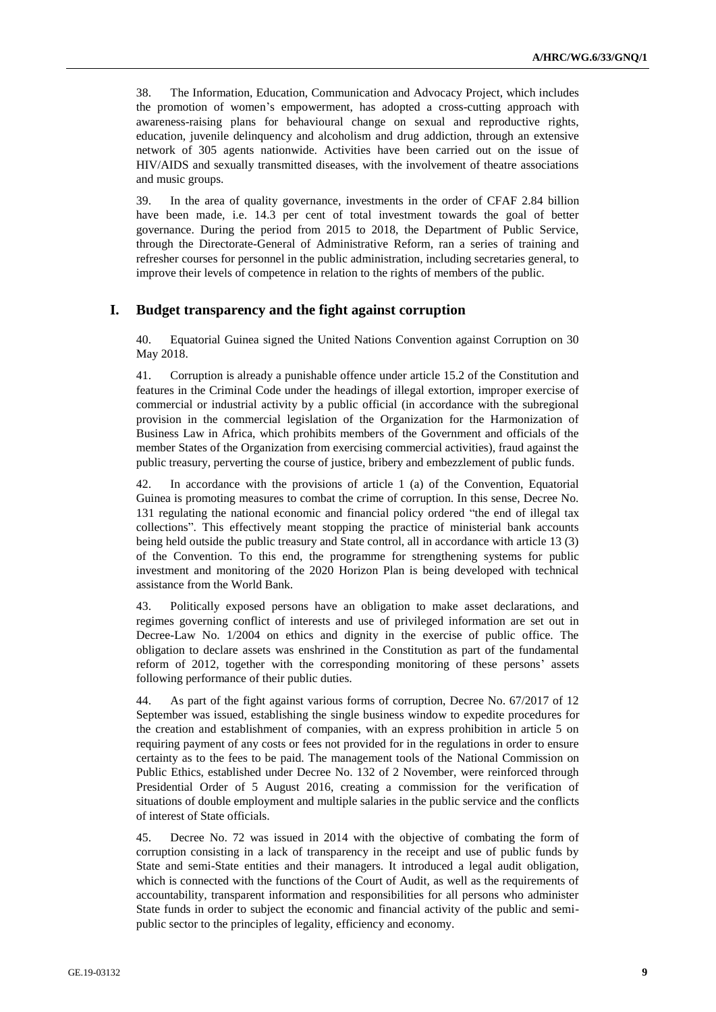38. The Information, Education, Communication and Advocacy Project, which includes the promotion of women's empowerment, has adopted a cross-cutting approach with awareness-raising plans for behavioural change on sexual and reproductive rights, education, juvenile delinquency and alcoholism and drug addiction, through an extensive network of 305 agents nationwide. Activities have been carried out on the issue of HIV/AIDS and sexually transmitted diseases, with the involvement of theatre associations and music groups.

39. In the area of quality governance, investments in the order of CFAF 2.84 billion have been made, i.e. 14.3 per cent of total investment towards the goal of better governance. During the period from 2015 to 2018, the Department of Public Service, through the Directorate-General of Administrative Reform, ran a series of training and refresher courses for personnel in the public administration, including secretaries general, to improve their levels of competence in relation to the rights of members of the public.

#### **I. Budget transparency and the fight against corruption**

40. Equatorial Guinea signed the United Nations Convention against Corruption on 30 May 2018.

41. Corruption is already a punishable offence under article 15.2 of the Constitution and features in the Criminal Code under the headings of illegal extortion, improper exercise of commercial or industrial activity by a public official (in accordance with the subregional provision in the commercial legislation of the Organization for the Harmonization of Business Law in Africa, which prohibits members of the Government and officials of the member States of the Organization from exercising commercial activities), fraud against the public treasury, perverting the course of justice, bribery and embezzlement of public funds.

42. In accordance with the provisions of article 1 (a) of the Convention, Equatorial Guinea is promoting measures to combat the crime of corruption. In this sense, Decree No. 131 regulating the national economic and financial policy ordered "the end of illegal tax collections". This effectively meant stopping the practice of ministerial bank accounts being held outside the public treasury and State control, all in accordance with article 13 (3) of the Convention. To this end, the programme for strengthening systems for public investment and monitoring of the 2020 Horizon Plan is being developed with technical assistance from the World Bank.

43. Politically exposed persons have an obligation to make asset declarations, and regimes governing conflict of interests and use of privileged information are set out in Decree-Law No. 1/2004 on ethics and dignity in the exercise of public office. The obligation to declare assets was enshrined in the Constitution as part of the fundamental reform of 2012, together with the corresponding monitoring of these persons' assets following performance of their public duties.

44. As part of the fight against various forms of corruption, Decree No. 67/2017 of 12 September was issued, establishing the single business window to expedite procedures for the creation and establishment of companies, with an express prohibition in article 5 on requiring payment of any costs or fees not provided for in the regulations in order to ensure certainty as to the fees to be paid. The management tools of the National Commission on Public Ethics, established under Decree No. 132 of 2 November, were reinforced through Presidential Order of 5 August 2016, creating a commission for the verification of situations of double employment and multiple salaries in the public service and the conflicts of interest of State officials.

45. Decree No. 72 was issued in 2014 with the objective of combating the form of corruption consisting in a lack of transparency in the receipt and use of public funds by State and semi-State entities and their managers. It introduced a legal audit obligation, which is connected with the functions of the Court of Audit, as well as the requirements of accountability, transparent information and responsibilities for all persons who administer State funds in order to subject the economic and financial activity of the public and semipublic sector to the principles of legality, efficiency and economy.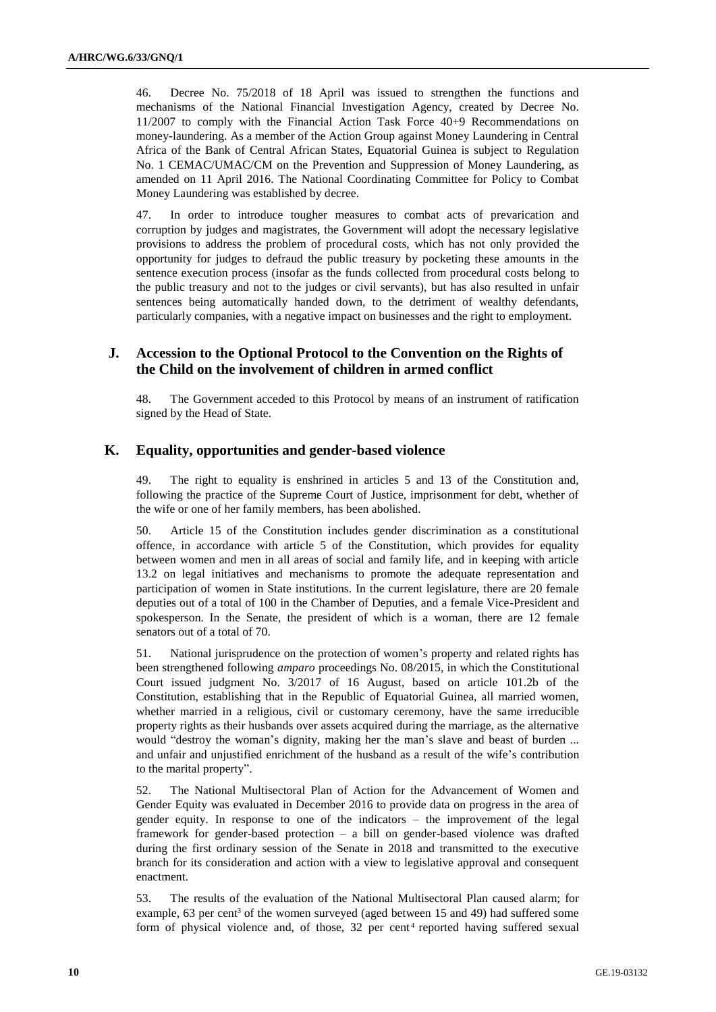46. Decree No. 75/2018 of 18 April was issued to strengthen the functions and mechanisms of the National Financial Investigation Agency, created by Decree No. 11/2007 to comply with the Financial Action Task Force 40+9 Recommendations on money-laundering. As a member of the Action Group against Money Laundering in Central Africa of the Bank of Central African States, Equatorial Guinea is subject to Regulation No. 1 CEMAC/UMAC/CM on the Prevention and Suppression of Money Laundering, as amended on 11 April 2016. The National Coordinating Committee for Policy to Combat Money Laundering was established by decree.

47. In order to introduce tougher measures to combat acts of prevarication and corruption by judges and magistrates, the Government will adopt the necessary legislative provisions to address the problem of procedural costs, which has not only provided the opportunity for judges to defraud the public treasury by pocketing these amounts in the sentence execution process (insofar as the funds collected from procedural costs belong to the public treasury and not to the judges or civil servants), but has also resulted in unfair sentences being automatically handed down, to the detriment of wealthy defendants, particularly companies, with a negative impact on businesses and the right to employment.

## **J. Accession to the Optional Protocol to the Convention on the Rights of the Child on the involvement of children in armed conflict**

48. The Government acceded to this Protocol by means of an instrument of ratification signed by the Head of State.

#### **K. Equality, opportunities and gender-based violence**

49. The right to equality is enshrined in articles 5 and 13 of the Constitution and, following the practice of the Supreme Court of Justice, imprisonment for debt, whether of the wife or one of her family members, has been abolished.

50. Article 15 of the Constitution includes gender discrimination as a constitutional offence, in accordance with article 5 of the Constitution, which provides for equality between women and men in all areas of social and family life, and in keeping with article 13.2 on legal initiatives and mechanisms to promote the adequate representation and participation of women in State institutions. In the current legislature, there are 20 female deputies out of a total of 100 in the Chamber of Deputies, and a female Vice-President and spokesperson. In the Senate, the president of which is a woman, there are 12 female senators out of a total of 70.

51. National jurisprudence on the protection of women's property and related rights has been strengthened following *amparo* proceedings No. 08/2015, in which the Constitutional Court issued judgment No. 3/2017 of 16 August, based on article 101.2b of the Constitution, establishing that in the Republic of Equatorial Guinea, all married women, whether married in a religious, civil or customary ceremony, have the same irreducible property rights as their husbands over assets acquired during the marriage, as the alternative would "destroy the woman's dignity, making her the man's slave and beast of burden ... and unfair and unjustified enrichment of the husband as a result of the wife's contribution to the marital property".

52. The National Multisectoral Plan of Action for the Advancement of Women and Gender Equity was evaluated in December 2016 to provide data on progress in the area of gender equity. In response to one of the indicators – the improvement of the legal framework for gender-based protection – a bill on gender-based violence was drafted during the first ordinary session of the Senate in 2018 and transmitted to the executive branch for its consideration and action with a view to legislative approval and consequent enactment.

53. The results of the evaluation of the National Multisectoral Plan caused alarm; for example, 63 per cent<sup>3</sup> of the women surveyed (aged between 15 and 49) had suffered some form of physical violence and, of those,  $32$  per cent<sup>4</sup> reported having suffered sexual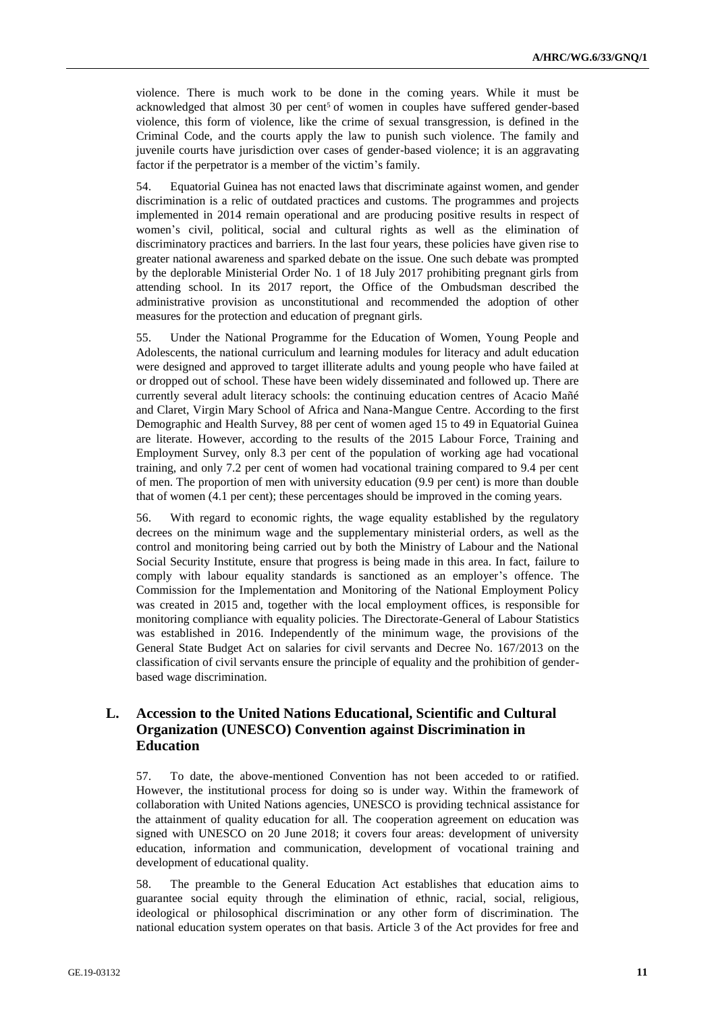violence. There is much work to be done in the coming years. While it must be acknowledged that almost  $30$  per cent<sup>5</sup> of women in couples have suffered gender-based violence, this form of violence, like the crime of sexual transgression, is defined in the Criminal Code, and the courts apply the law to punish such violence. The family and juvenile courts have jurisdiction over cases of gender-based violence; it is an aggravating factor if the perpetrator is a member of the victim's family.

54. Equatorial Guinea has not enacted laws that discriminate against women, and gender discrimination is a relic of outdated practices and customs. The programmes and projects implemented in 2014 remain operational and are producing positive results in respect of women's civil, political, social and cultural rights as well as the elimination of discriminatory practices and barriers. In the last four years, these policies have given rise to greater national awareness and sparked debate on the issue. One such debate was prompted by the deplorable Ministerial Order No. 1 of 18 July 2017 prohibiting pregnant girls from attending school. In its 2017 report, the Office of the Ombudsman described the administrative provision as unconstitutional and recommended the adoption of other measures for the protection and education of pregnant girls.

55. Under the National Programme for the Education of Women, Young People and Adolescents, the national curriculum and learning modules for literacy and adult education were designed and approved to target illiterate adults and young people who have failed at or dropped out of school. These have been widely disseminated and followed up. There are currently several adult literacy schools: the continuing education centres of Acacio Mañé and Claret, Virgin Mary School of Africa and Nana-Mangue Centre. According to the first Demographic and Health Survey, 88 per cent of women aged 15 to 49 in Equatorial Guinea are literate. However, according to the results of the 2015 Labour Force, Training and Employment Survey, only 8.3 per cent of the population of working age had vocational training, and only 7.2 per cent of women had vocational training compared to 9.4 per cent of men. The proportion of men with university education (9.9 per cent) is more than double that of women (4.1 per cent); these percentages should be improved in the coming years.

56. With regard to economic rights, the wage equality established by the regulatory decrees on the minimum wage and the supplementary ministerial orders, as well as the control and monitoring being carried out by both the Ministry of Labour and the National Social Security Institute, ensure that progress is being made in this area. In fact, failure to comply with labour equality standards is sanctioned as an employer's offence. The Commission for the Implementation and Monitoring of the National Employment Policy was created in 2015 and, together with the local employment offices, is responsible for monitoring compliance with equality policies. The Directorate-General of Labour Statistics was established in 2016. Independently of the minimum wage, the provisions of the General State Budget Act on salaries for civil servants and Decree No. 167/2013 on the classification of civil servants ensure the principle of equality and the prohibition of genderbased wage discrimination.

# **L. Accession to the United Nations Educational, Scientific and Cultural Organization (UNESCO) Convention against Discrimination in Education**

57. To date, the above-mentioned Convention has not been acceded to or ratified. However, the institutional process for doing so is under way. Within the framework of collaboration with United Nations agencies, UNESCO is providing technical assistance for the attainment of quality education for all. The cooperation agreement on education was signed with UNESCO on 20 June 2018; it covers four areas: development of university education, information and communication, development of vocational training and development of educational quality.

58. The preamble to the General Education Act establishes that education aims to guarantee social equity through the elimination of ethnic, racial, social, religious, ideological or philosophical discrimination or any other form of discrimination. The national education system operates on that basis. Article 3 of the Act provides for free and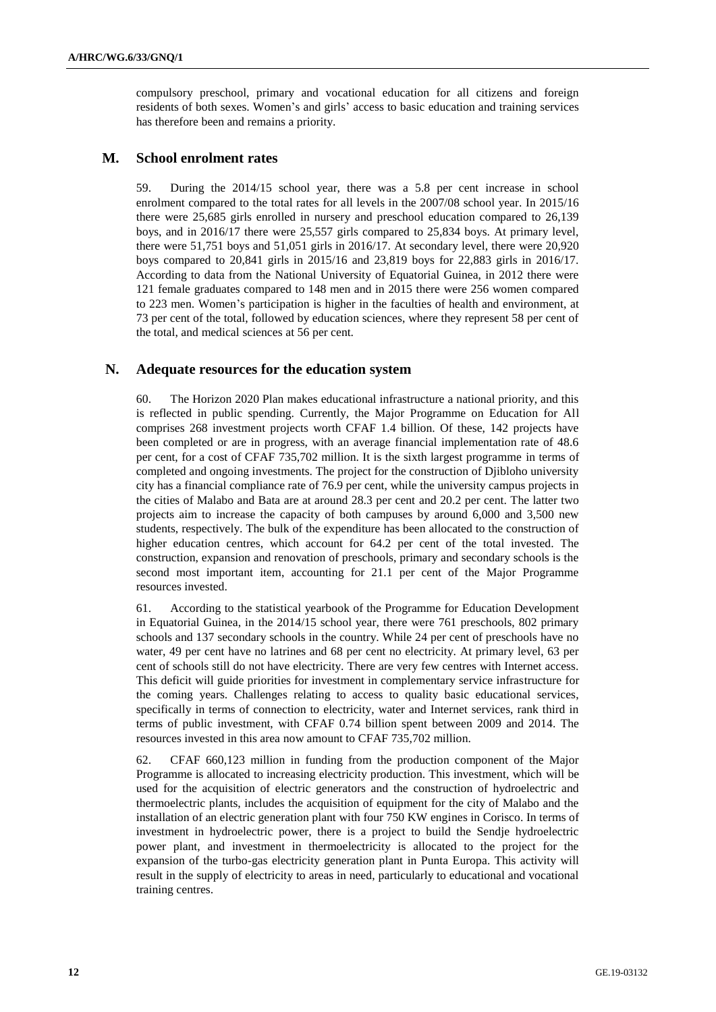compulsory preschool, primary and vocational education for all citizens and foreign residents of both sexes. Women's and girls' access to basic education and training services has therefore been and remains a priority.

#### **M. School enrolment rates**

59. During the 2014/15 school year, there was a 5.8 per cent increase in school enrolment compared to the total rates for all levels in the 2007/08 school year. In 2015/16 there were 25,685 girls enrolled in nursery and preschool education compared to 26,139 boys, and in 2016/17 there were 25,557 girls compared to 25,834 boys. At primary level, there were 51,751 boys and 51,051 girls in 2016/17. At secondary level, there were 20,920 boys compared to 20,841 girls in 2015/16 and 23,819 boys for 22,883 girls in 2016/17. According to data from the National University of Equatorial Guinea, in 2012 there were 121 female graduates compared to 148 men and in 2015 there were 256 women compared to 223 men. Women's participation is higher in the faculties of health and environment, at 73 per cent of the total, followed by education sciences, where they represent 58 per cent of the total, and medical sciences at 56 per cent.

#### **N. Adequate resources for the education system**

60. The Horizon 2020 Plan makes educational infrastructure a national priority, and this is reflected in public spending. Currently, the Major Programme on Education for All comprises 268 investment projects worth CFAF 1.4 billion. Of these, 142 projects have been completed or are in progress, with an average financial implementation rate of 48.6 per cent, for a cost of CFAF 735,702 million. It is the sixth largest programme in terms of completed and ongoing investments. The project for the construction of Djibloho university city has a financial compliance rate of 76.9 per cent, while the university campus projects in the cities of Malabo and Bata are at around 28.3 per cent and 20.2 per cent. The latter two projects aim to increase the capacity of both campuses by around 6,000 and 3,500 new students, respectively. The bulk of the expenditure has been allocated to the construction of higher education centres, which account for 64.2 per cent of the total invested. The construction, expansion and renovation of preschools, primary and secondary schools is the second most important item, accounting for 21.1 per cent of the Major Programme resources invested.

61. According to the statistical yearbook of the Programme for Education Development in Equatorial Guinea, in the 2014/15 school year, there were 761 preschools, 802 primary schools and 137 secondary schools in the country. While 24 per cent of preschools have no water, 49 per cent have no latrines and 68 per cent no electricity. At primary level, 63 per cent of schools still do not have electricity. There are very few centres with Internet access. This deficit will guide priorities for investment in complementary service infrastructure for the coming years. Challenges relating to access to quality basic educational services, specifically in terms of connection to electricity, water and Internet services, rank third in terms of public investment, with CFAF 0.74 billion spent between 2009 and 2014. The resources invested in this area now amount to CFAF 735,702 million.

62. CFAF 660,123 million in funding from the production component of the Major Programme is allocated to increasing electricity production. This investment, which will be used for the acquisition of electric generators and the construction of hydroelectric and thermoelectric plants, includes the acquisition of equipment for the city of Malabo and the installation of an electric generation plant with four 750 KW engines in Corisco. In terms of investment in hydroelectric power, there is a project to build the Sendje hydroelectric power plant, and investment in thermoelectricity is allocated to the project for the expansion of the turbo-gas electricity generation plant in Punta Europa. This activity will result in the supply of electricity to areas in need, particularly to educational and vocational training centres.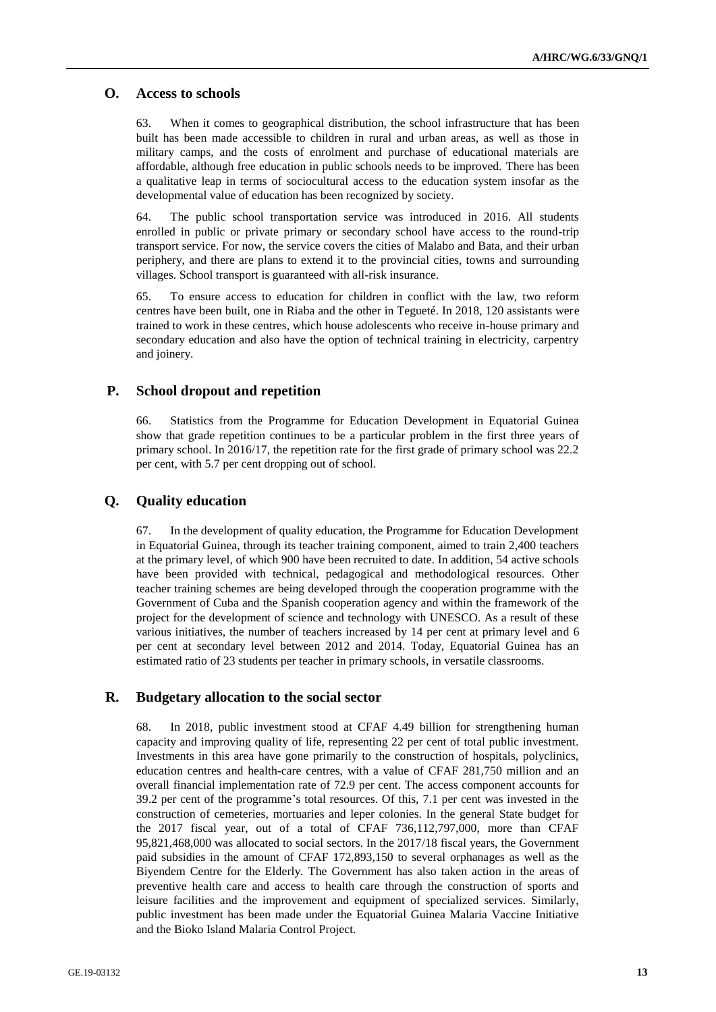#### **O. Access to schools**

63. When it comes to geographical distribution, the school infrastructure that has been built has been made accessible to children in rural and urban areas, as well as those in military camps, and the costs of enrolment and purchase of educational materials are affordable, although free education in public schools needs to be improved. There has been a qualitative leap in terms of sociocultural access to the education system insofar as the developmental value of education has been recognized by society.

64. The public school transportation service was introduced in 2016. All students enrolled in public or private primary or secondary school have access to the round-trip transport service. For now, the service covers the cities of Malabo and Bata, and their urban periphery, and there are plans to extend it to the provincial cities, towns and surrounding villages. School transport is guaranteed with all-risk insurance.

65. To ensure access to education for children in conflict with the law, two reform centres have been built, one in Riaba and the other in Tegueté. In 2018, 120 assistants were trained to work in these centres, which house adolescents who receive in-house primary and secondary education and also have the option of technical training in electricity, carpentry and joinery.

#### **P. School dropout and repetition**

66. Statistics from the Programme for Education Development in Equatorial Guinea show that grade repetition continues to be a particular problem in the first three years of primary school. In 2016/17, the repetition rate for the first grade of primary school was 22.2 per cent, with 5.7 per cent dropping out of school.

#### **Q. Quality education**

67. In the development of quality education, the Programme for Education Development in Equatorial Guinea, through its teacher training component, aimed to train 2,400 teachers at the primary level, of which 900 have been recruited to date. In addition, 54 active schools have been provided with technical, pedagogical and methodological resources. Other teacher training schemes are being developed through the cooperation programme with the Government of Cuba and the Spanish cooperation agency and within the framework of the project for the development of science and technology with UNESCO. As a result of these various initiatives, the number of teachers increased by 14 per cent at primary level and 6 per cent at secondary level between 2012 and 2014. Today, Equatorial Guinea has an estimated ratio of 23 students per teacher in primary schools, in versatile classrooms.

#### **R. Budgetary allocation to the social sector**

68. In 2018, public investment stood at CFAF 4.49 billion for strengthening human capacity and improving quality of life, representing 22 per cent of total public investment. Investments in this area have gone primarily to the construction of hospitals, polyclinics, education centres and health-care centres, with a value of CFAF 281,750 million and an overall financial implementation rate of 72.9 per cent. The access component accounts for 39.2 per cent of the programme's total resources. Of this, 7.1 per cent was invested in the construction of cemeteries, mortuaries and leper colonies. In the general State budget for the 2017 fiscal year, out of a total of CFAF 736,112,797,000, more than CFAF 95,821,468,000 was allocated to social sectors. In the 2017/18 fiscal years, the Government paid subsidies in the amount of CFAF 172,893,150 to several orphanages as well as the Biyendem Centre for the Elderly. The Government has also taken action in the areas of preventive health care and access to health care through the construction of sports and leisure facilities and the improvement and equipment of specialized services. Similarly, public investment has been made under the Equatorial Guinea Malaria Vaccine Initiative and the Bioko Island Malaria Control Project.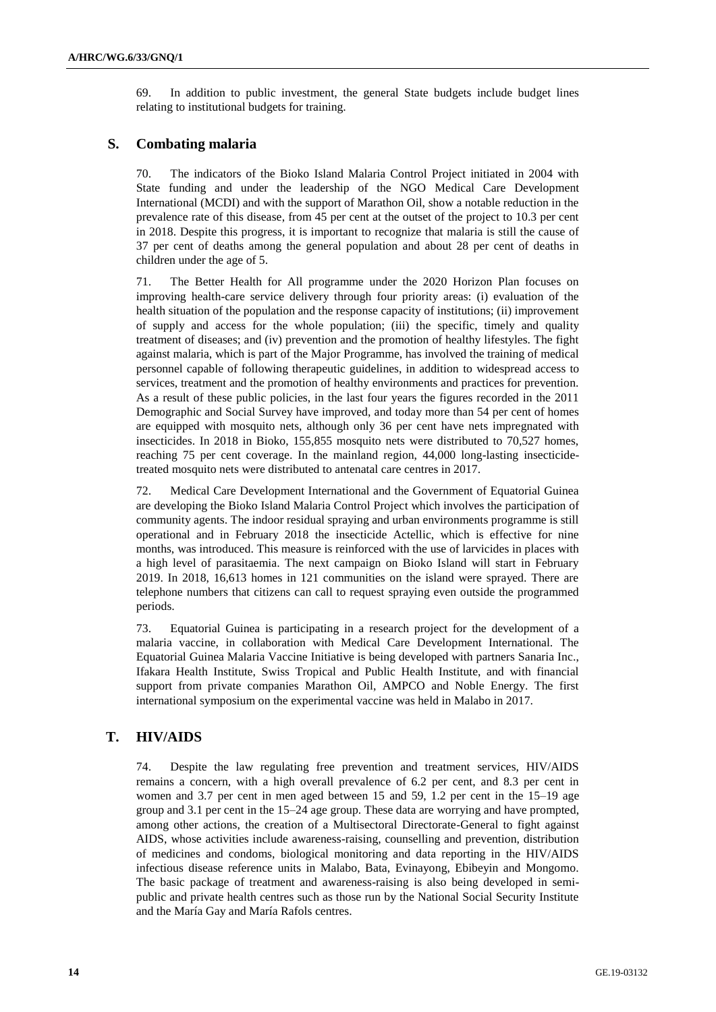69. In addition to public investment, the general State budgets include budget lines relating to institutional budgets for training.

# **S. Combating malaria**

70. The indicators of the Bioko Island Malaria Control Project initiated in 2004 with State funding and under the leadership of the NGO Medical Care Development International (MCDI) and with the support of Marathon Oil, show a notable reduction in the prevalence rate of this disease, from 45 per cent at the outset of the project to 10.3 per cent in 2018. Despite this progress, it is important to recognize that malaria is still the cause of 37 per cent of deaths among the general population and about 28 per cent of deaths in children under the age of 5.

71. The Better Health for All programme under the 2020 Horizon Plan focuses on improving health-care service delivery through four priority areas: (i) evaluation of the health situation of the population and the response capacity of institutions; (ii) improvement of supply and access for the whole population; (iii) the specific, timely and quality treatment of diseases; and (iv) prevention and the promotion of healthy lifestyles. The fight against malaria, which is part of the Major Programme, has involved the training of medical personnel capable of following therapeutic guidelines, in addition to widespread access to services, treatment and the promotion of healthy environments and practices for prevention. As a result of these public policies, in the last four years the figures recorded in the 2011 Demographic and Social Survey have improved, and today more than 54 per cent of homes are equipped with mosquito nets, although only 36 per cent have nets impregnated with insecticides. In 2018 in Bioko, 155,855 mosquito nets were distributed to 70,527 homes, reaching 75 per cent coverage. In the mainland region, 44,000 long-lasting insecticidetreated mosquito nets were distributed to antenatal care centres in 2017.

72. Medical Care Development International and the Government of Equatorial Guinea are developing the Bioko Island Malaria Control Project which involves the participation of community agents. The indoor residual spraying and urban environments programme is still operational and in February 2018 the insecticide Actellic, which is effective for nine months, was introduced. This measure is reinforced with the use of larvicides in places with a high level of parasitaemia. The next campaign on Bioko Island will start in February 2019. In 2018, 16,613 homes in 121 communities on the island were sprayed. There are telephone numbers that citizens can call to request spraying even outside the programmed periods.

73. Equatorial Guinea is participating in a research project for the development of a malaria vaccine, in collaboration with Medical Care Development International. The Equatorial Guinea Malaria Vaccine Initiative is being developed with partners Sanaria Inc., Ifakara Health Institute, Swiss Tropical and Public Health Institute, and with financial support from private companies Marathon Oil, AMPCO and Noble Energy. The first international symposium on the experimental vaccine was held in Malabo in 2017.

# **T. HIV/AIDS**

74. Despite the law regulating free prevention and treatment services, HIV/AIDS remains a concern, with a high overall prevalence of 6.2 per cent, and 8.3 per cent in women and 3.7 per cent in men aged between 15 and 59, 1.2 per cent in the 15–19 age group and 3.1 per cent in the 15–24 age group. These data are worrying and have prompted, among other actions, the creation of a Multisectoral Directorate-General to fight against AIDS, whose activities include awareness-raising, counselling and prevention, distribution of medicines and condoms, biological monitoring and data reporting in the HIV/AIDS infectious disease reference units in Malabo, Bata, Evinayong, Ebibeyin and Mongomo. The basic package of treatment and awareness-raising is also being developed in semipublic and private health centres such as those run by the National Social Security Institute and the María Gay and María Rafols centres.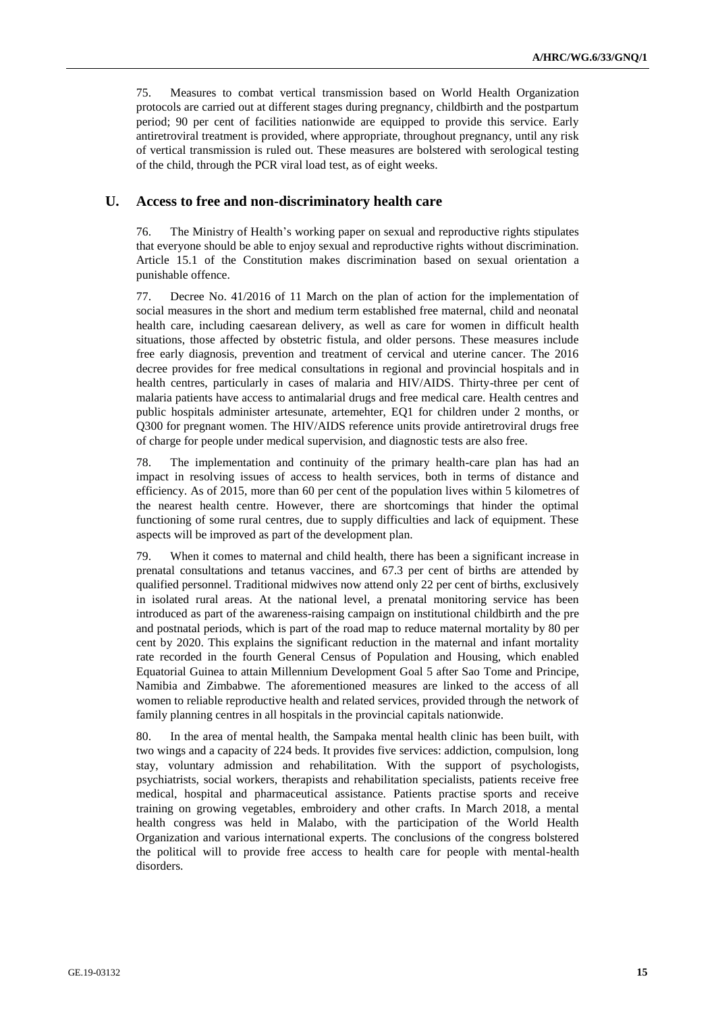75. Measures to combat vertical transmission based on World Health Organization protocols are carried out at different stages during pregnancy, childbirth and the postpartum period; 90 per cent of facilities nationwide are equipped to provide this service. Early antiretroviral treatment is provided, where appropriate, throughout pregnancy, until any risk of vertical transmission is ruled out. These measures are bolstered with serological testing of the child, through the PCR viral load test, as of eight weeks.

#### **U. Access to free and non-discriminatory health care**

76. The Ministry of Health's working paper on sexual and reproductive rights stipulates that everyone should be able to enjoy sexual and reproductive rights without discrimination. Article 15.1 of the Constitution makes discrimination based on sexual orientation a punishable offence.

77. Decree No. 41/2016 of 11 March on the plan of action for the implementation of social measures in the short and medium term established free maternal, child and neonatal health care, including caesarean delivery, as well as care for women in difficult health situations, those affected by obstetric fistula, and older persons. These measures include free early diagnosis, prevention and treatment of cervical and uterine cancer. The 2016 decree provides for free medical consultations in regional and provincial hospitals and in health centres, particularly in cases of malaria and HIV/AIDS. Thirty-three per cent of malaria patients have access to antimalarial drugs and free medical care. Health centres and public hospitals administer artesunate, artemehter, EQ1 for children under 2 months, or Q300 for pregnant women. The HIV/AIDS reference units provide antiretroviral drugs free of charge for people under medical supervision, and diagnostic tests are also free.

78. The implementation and continuity of the primary health-care plan has had an impact in resolving issues of access to health services, both in terms of distance and efficiency. As of 2015, more than 60 per cent of the population lives within 5 kilometres of the nearest health centre. However, there are shortcomings that hinder the optimal functioning of some rural centres, due to supply difficulties and lack of equipment. These aspects will be improved as part of the development plan.

79. When it comes to maternal and child health, there has been a significant increase in prenatal consultations and tetanus vaccines, and 67.3 per cent of births are attended by qualified personnel. Traditional midwives now attend only 22 per cent of births, exclusively in isolated rural areas. At the national level, a prenatal monitoring service has been introduced as part of the awareness-raising campaign on institutional childbirth and the pre and postnatal periods, which is part of the road map to reduce maternal mortality by 80 per cent by 2020. This explains the significant reduction in the maternal and infant mortality rate recorded in the fourth General Census of Population and Housing, which enabled Equatorial Guinea to attain Millennium Development Goal 5 after Sao Tome and Principe, Namibia and Zimbabwe. The aforementioned measures are linked to the access of all women to reliable reproductive health and related services, provided through the network of family planning centres in all hospitals in the provincial capitals nationwide.

80. In the area of mental health, the Sampaka mental health clinic has been built, with two wings and a capacity of 224 beds. It provides five services: addiction, compulsion, long stay, voluntary admission and rehabilitation. With the support of psychologists, psychiatrists, social workers, therapists and rehabilitation specialists, patients receive free medical, hospital and pharmaceutical assistance. Patients practise sports and receive training on growing vegetables, embroidery and other crafts. In March 2018, a mental health congress was held in Malabo, with the participation of the World Health Organization and various international experts. The conclusions of the congress bolstered the political will to provide free access to health care for people with mental-health disorders.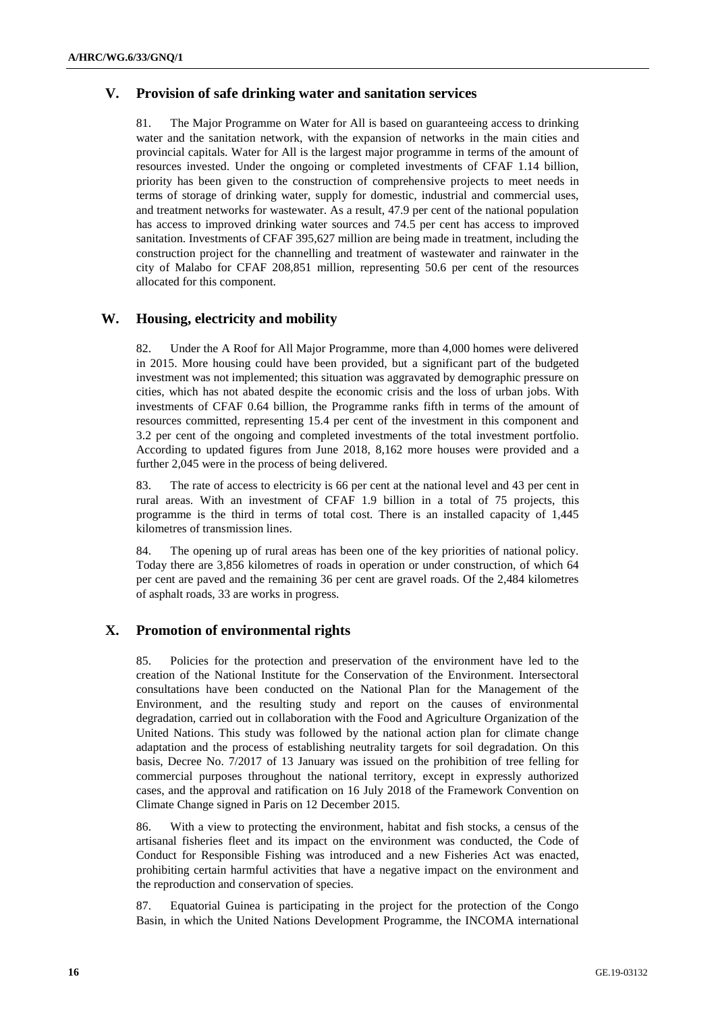# **V. Provision of safe drinking water and sanitation services**

81. The Major Programme on Water for All is based on guaranteeing access to drinking water and the sanitation network, with the expansion of networks in the main cities and provincial capitals. Water for All is the largest major programme in terms of the amount of resources invested. Under the ongoing or completed investments of CFAF 1.14 billion, priority has been given to the construction of comprehensive projects to meet needs in terms of storage of drinking water, supply for domestic, industrial and commercial uses, and treatment networks for wastewater. As a result, 47.9 per cent of the national population has access to improved drinking water sources and 74.5 per cent has access to improved sanitation. Investments of CFAF 395,627 million are being made in treatment, including the construction project for the channelling and treatment of wastewater and rainwater in the city of Malabo for CFAF 208,851 million, representing 50.6 per cent of the resources allocated for this component.

# **W. Housing, electricity and mobility**

82. Under the A Roof for All Major Programme, more than 4,000 homes were delivered in 2015. More housing could have been provided, but a significant part of the budgeted investment was not implemented; this situation was aggravated by demographic pressure on cities, which has not abated despite the economic crisis and the loss of urban jobs. With investments of CFAF 0.64 billion, the Programme ranks fifth in terms of the amount of resources committed, representing 15.4 per cent of the investment in this component and 3.2 per cent of the ongoing and completed investments of the total investment portfolio. According to updated figures from June 2018, 8,162 more houses were provided and a further 2,045 were in the process of being delivered.

83. The rate of access to electricity is 66 per cent at the national level and 43 per cent in rural areas. With an investment of CFAF 1.9 billion in a total of 75 projects, this programme is the third in terms of total cost. There is an installed capacity of 1,445 kilometres of transmission lines.

84. The opening up of rural areas has been one of the key priorities of national policy. Today there are 3,856 kilometres of roads in operation or under construction, of which 64 per cent are paved and the remaining 36 per cent are gravel roads. Of the 2,484 kilometres of asphalt roads, 33 are works in progress.

# **X. Promotion of environmental rights**

85. Policies for the protection and preservation of the environment have led to the creation of the National Institute for the Conservation of the Environment. Intersectoral consultations have been conducted on the National Plan for the Management of the Environment, and the resulting study and report on the causes of environmental degradation, carried out in collaboration with the Food and Agriculture Organization of the United Nations. This study was followed by the national action plan for climate change adaptation and the process of establishing neutrality targets for soil degradation. On this basis, Decree No. 7/2017 of 13 January was issued on the prohibition of tree felling for commercial purposes throughout the national territory, except in expressly authorized cases, and the approval and ratification on 16 July 2018 of the Framework Convention on Climate Change signed in Paris on 12 December 2015.

86. With a view to protecting the environment, habitat and fish stocks, a census of the artisanal fisheries fleet and its impact on the environment was conducted, the Code of Conduct for Responsible Fishing was introduced and a new Fisheries Act was enacted, prohibiting certain harmful activities that have a negative impact on the environment and the reproduction and conservation of species.

87. Equatorial Guinea is participating in the project for the protection of the Congo Basin, in which the United Nations Development Programme, the INCOMA international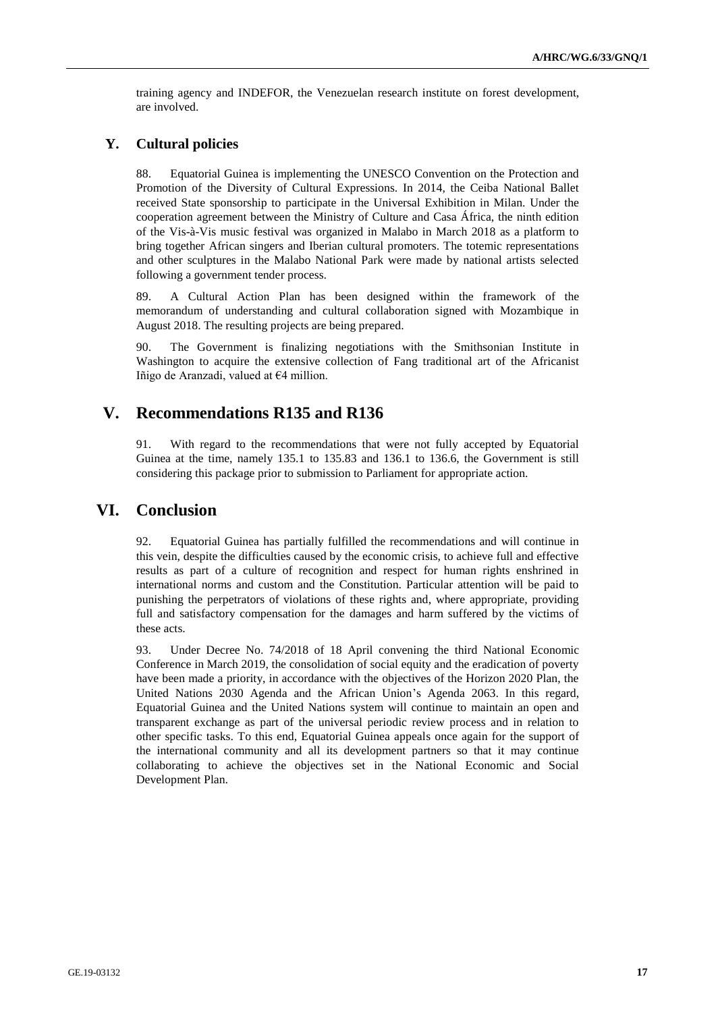training agency and INDEFOR, the Venezuelan research institute on forest development, are involved.

#### **Y. Cultural policies**

88. Equatorial Guinea is implementing the UNESCO Convention on the Protection and Promotion of the Diversity of Cultural Expressions. In 2014, the Ceiba National Ballet received State sponsorship to participate in the Universal Exhibition in Milan. Under the cooperation agreement between the Ministry of Culture and Casa África, the ninth edition of the Vis-à-Vis music festival was organized in Malabo in March 2018 as a platform to bring together African singers and Iberian cultural promoters. The totemic representations and other sculptures in the Malabo National Park were made by national artists selected following a government tender process.

89. A Cultural Action Plan has been designed within the framework of the memorandum of understanding and cultural collaboration signed with Mozambique in August 2018. The resulting projects are being prepared.

90. The Government is finalizing negotiations with the Smithsonian Institute in Washington to acquire the extensive collection of Fang traditional art of the Africanist Iñigo de Aranzadi, valued at €4 million.

# **V. Recommendations R135 and R136**

91. With regard to the recommendations that were not fully accepted by Equatorial Guinea at the time, namely 135.1 to 135.83 and 136.1 to 136.6, the Government is still considering this package prior to submission to Parliament for appropriate action.

# **VI. Conclusion**

92. Equatorial Guinea has partially fulfilled the recommendations and will continue in this vein, despite the difficulties caused by the economic crisis, to achieve full and effective results as part of a culture of recognition and respect for human rights enshrined in international norms and custom and the Constitution. Particular attention will be paid to punishing the perpetrators of violations of these rights and, where appropriate, providing full and satisfactory compensation for the damages and harm suffered by the victims of these acts.

93. Under Decree No. 74/2018 of 18 April convening the third National Economic Conference in March 2019, the consolidation of social equity and the eradication of poverty have been made a priority, in accordance with the objectives of the Horizon 2020 Plan, the United Nations 2030 Agenda and the African Union's Agenda 2063. In this regard, Equatorial Guinea and the United Nations system will continue to maintain an open and transparent exchange as part of the universal periodic review process and in relation to other specific tasks. To this end, Equatorial Guinea appeals once again for the support of the international community and all its development partners so that it may continue collaborating to achieve the objectives set in the National Economic and Social Development Plan.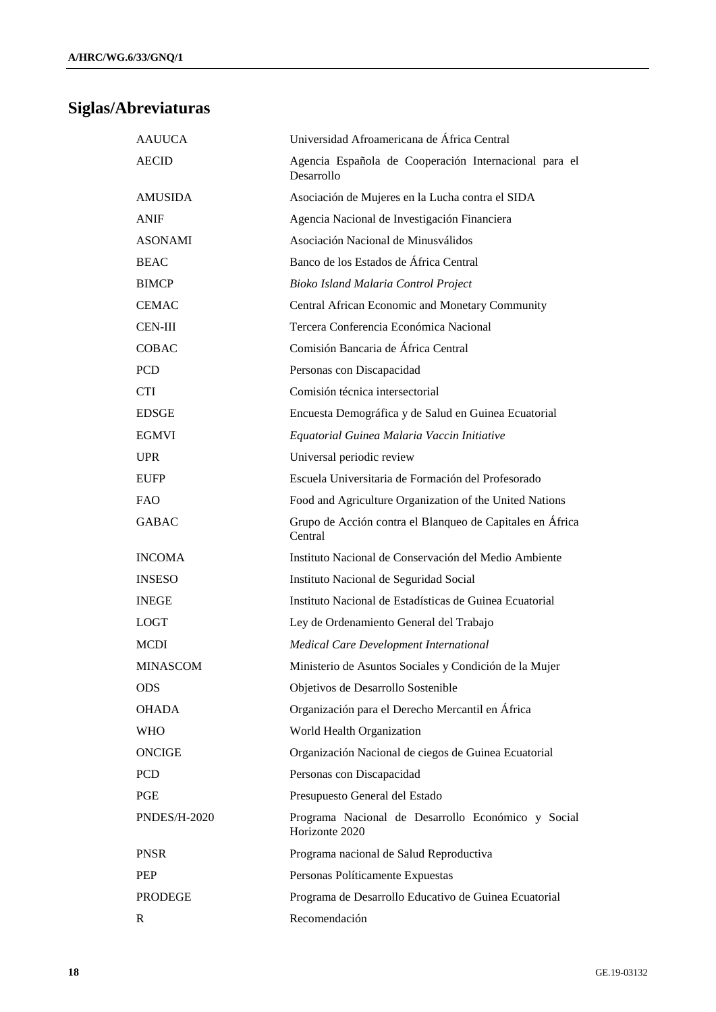# **Siglas/Abreviaturas**

| <b>AAUUCA</b>       | Universidad Afroamericana de África Central                          |
|---------------------|----------------------------------------------------------------------|
| <b>AECID</b>        | Agencia Española de Cooperación Internacional para el<br>Desarrollo  |
| <b>AMUSIDA</b>      | Asociación de Mujeres en la Lucha contra el SIDA                     |
| <b>ANIF</b>         | Agencia Nacional de Investigación Financiera                         |
| <b>ASONAMI</b>      | Asociación Nacional de Minusválidos                                  |
| <b>BEAC</b>         | Banco de los Estados de África Central                               |
| <b>BIMCP</b>        | Bioko Island Malaria Control Project                                 |
| <b>CEMAC</b>        | Central African Economic and Monetary Community                      |
| <b>CEN-III</b>      | Tercera Conferencia Económica Nacional                               |
| COBAC               | Comisión Bancaria de África Central                                  |
| PCD                 | Personas con Discapacidad                                            |
| CTI                 | Comisión técnica intersectorial                                      |
| <b>EDSGE</b>        | Encuesta Demográfica y de Salud en Guinea Ecuatorial                 |
| <b>EGMVI</b>        | Equatorial Guinea Malaria Vaccin Initiative                          |
| <b>UPR</b>          | Universal periodic review                                            |
| <b>EUFP</b>         | Escuela Universitaria de Formación del Profesorado                   |
| <b>FAO</b>          | Food and Agriculture Organization of the United Nations              |
| <b>GABAC</b>        | Grupo de Acción contra el Blanqueo de Capitales en África<br>Central |
| <b>INCOMA</b>       | Instituto Nacional de Conservación del Medio Ambiente                |
| <b>INSESO</b>       | Instituto Nacional de Seguridad Social                               |
| <b>INEGE</b>        | Instituto Nacional de Estadísticas de Guinea Ecuatorial              |
| <b>LOGT</b>         | Ley de Ordenamiento General del Trabajo                              |
| MCDI                | Medical Care Development International                               |
| MINASCOM            | Ministerio de Asuntos Sociales y Condición de la Mujer               |
| <b>ODS</b>          | Objetivos de Desarrollo Sostenible                                   |
| <b>OHADA</b>        | Organización para el Derecho Mercantil en África                     |
| <b>WHO</b>          | World Health Organization                                            |
| ONCIGE              | Organización Nacional de ciegos de Guinea Ecuatorial                 |
| PCD                 | Personas con Discapacidad                                            |
| PGE                 | Presupuesto General del Estado                                       |
| <b>PNDES/H-2020</b> | Programa Nacional de Desarrollo Económico y Social<br>Horizonte 2020 |
| PNSR                | Programa nacional de Salud Reproductiva                              |
| PEP                 | Personas Políticamente Expuestas                                     |
| PRODEGE             | Programa de Desarrollo Educativo de Guinea Ecuatorial                |
| R                   | Recomendación                                                        |